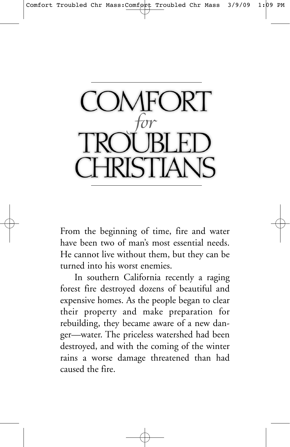

From the beginning of time, fire and water have been two of man's most essential needs. He cannot live without them, but they can be turned into his worst enemies.

In southern California recently a raging forest fire destroyed dozens of beautiful and expensive homes. As the people began to clear their property and make preparation for rebuilding, they became aware of a new danger—water. The priceless watershed had been destroyed, and with the coming of the winter rains a worse damage threatened than had caused the fire.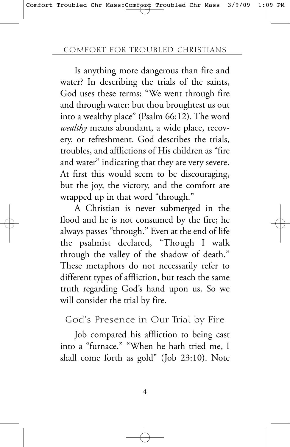Is anything more dangerous than fire and water? In describing the trials of the saints, God uses these terms: "We went through fire and through water: but thou broughtest us out into a wealthy place" (Psalm 66:12). The word *wealthy* means abundant, a wide place, recovery, or refreshment. God describes the trials, troubles, and afflictions of His children as "fire and water" indicating that they are very severe. At first this would seem to be discouraging, but the joy, the victory, and the comfort are wrapped up in that word "through."

A Christian is never submerged in the flood and he is not consumed by the fire; he always passes "through." Even at the end of life the psalmist declared, "Though I walk through the valley of the shadow of death." These metaphors do not necessarily refer to different types of affliction, but teach the same truth regarding God's hand upon us. So we will consider the trial by fire.

God's Presence in Our Trial by Fire

Job compared his affliction to being cast into a "furnace." "When he hath tried me, I shall come forth as gold" (Job 23:10). Note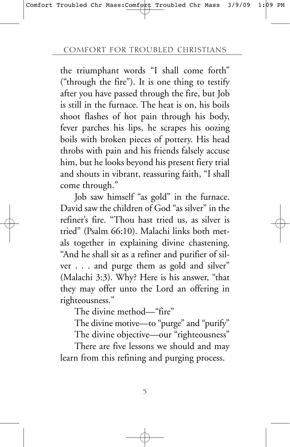the triumphant words "I shall come forth" ("through the fire"). It is one thing to testify after you have passed through the fire, but Job is still in the furnace. The heat is on, his boils shoot flashes of hot pain through his body, fever parches his lips, he scrapes his oozing boils with broken pieces of pottery. His head throbs with pain and his friends falsely accuse him, but he looks beyond his present fiery trial and shouts in vibrant, reassuring faith, "I shall come through."

Job saw himself "as gold" in the furnace. David saw the children of God "as silver" in the refiner's fire. "Thou hast tried us, as silver is tried" (Psalm 66:10). Malachi links both metals together in explaining divine chastening. "And he shall sit as a refiner and purifier of silver . . . and purge them as gold and silver" (Malachi 3:3). Why? Here is his answer, "that they may offer unto the Lord an offering in righteousness."

The divine method—"fire"

The divine motive—to "purge" and "purify"

The divine objective—our "righteousness"

There are five lessons we should and may learn from this refining and purging process.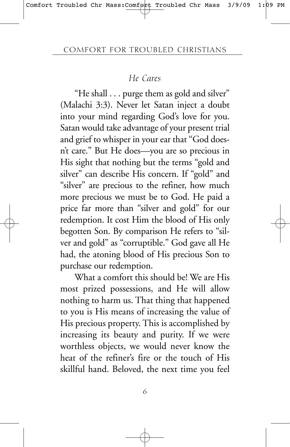## *He Cares*

"He shall . . . purge them as gold and silver" (Malachi 3:3). Never let Satan inject a doubt into your mind regarding God's love for you. Satan would take advantage of your present trial and grief to whisper in your ear that "God doesn't care." But He does—you are so precious in His sight that nothing but the terms "gold and silver" can describe His concern. If "gold" and "silver" are precious to the refiner, how much more precious we must be to God. He paid a price far more than "silver and gold" for our redemption. It cost Him the blood of His only begotten Son. By comparison He refers to "silver and gold" as "corruptible." God gave all He had, the atoning blood of His precious Son to purchase our redemption.

What a comfort this should be! We are His most prized possessions, and He will allow nothing to harm us. That thing that happened to you is His means of increasing the value of His precious property. This is accomplished by increasing its beauty and purity. If we were worthless objects, we would never know the heat of the refiner's fire or the touch of His skillful hand. Beloved, the next time you feel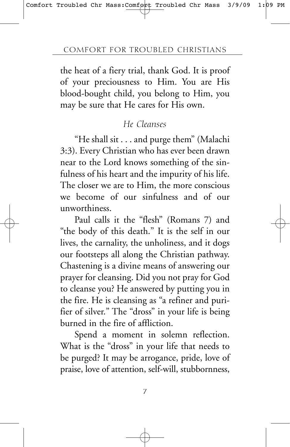the heat of a fiery trial, thank God. It is proof of your preciousness to Him. You are His blood-bought child, you belong to Him, you may be sure that He cares for His own.

## *He Cleanses*

"He shall sit . . . and purge them" (Malachi 3:3). Every Christian who has ever been drawn near to the Lord knows something of the sinfulness of his heart and the impurity of his life. The closer we are to Him, the more conscious we become of our sinfulness and of our unworthiness.

Paul calls it the "flesh" (Romans 7) and "the body of this death." It is the self in our lives, the carnality, the unholiness, and it dogs our footsteps all along the Christian pathway. Chastening is a divine means of answering our prayer for cleansing. Did you not pray for God to cleanse you? He answered by putting you in the fire. He is cleansing as "a refiner and purifier of silver." The "dross" in your life is being burned in the fire of affliction.

Spend a moment in solemn reflection. What is the "dross" in your life that needs to be purged? It may be arrogance, pride, love of praise, love of attention, self-will, stubbornness,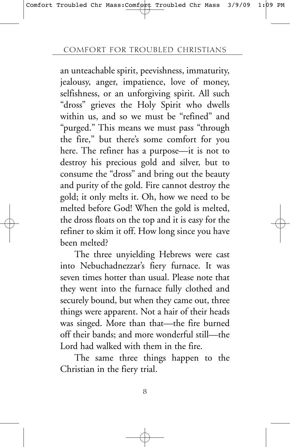an unteachable spirit, peevishness, immaturity, jealousy, anger, impatience, love of money, selfishness, or an unforgiving spirit. All such "dross" grieves the Holy Spirit who dwells within us, and so we must be "refined" and "purged." This means we must pass "through the fire," but there's some comfort for you here. The refiner has a purpose—it is not to destroy his precious gold and silver, but to consume the "dross" and bring out the beauty and purity of the gold. Fire cannot destroy the gold; it only melts it. Oh, how we need to be melted before God! When the gold is melted, the dross floats on the top and it is easy for the refiner to skim it off. How long since you have been melted?

The three unyielding Hebrews were cast into Nebuchadnezzar's fiery furnace. It was seven times hotter than usual. Please note that they went into the furnace fully clothed and securely bound, but when they came out, three things were apparent. Not a hair of their heads was singed. More than that—the fire burned off their bands; and more wonderful still—the Lord had walked with them in the fire.

The same three things happen to the Christian in the fiery trial.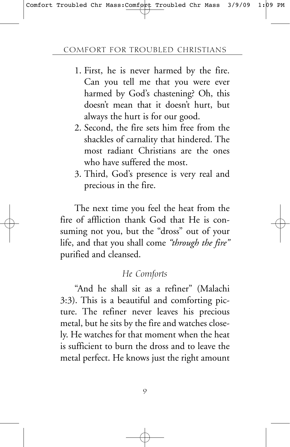- 1. First, he is never harmed by the fire. Can you tell me that you were ever harmed by God's chastening? Oh, this doesn't mean that it doesn't hurt, but always the hurt is for our good.
- 2. Second, the fire sets him free from the shackles of carnality that hindered. The most radiant Christians are the ones who have suffered the most.
- 3. Third, God's presence is very real and precious in the fire.

The next time you feel the heat from the fire of affliction thank God that He is consuming not you, but the "dross" out of your life, and that you shall come *"through the fire"* purified and cleansed.

## *He Comforts*

"And he shall sit as a refiner" (Malachi 3:3). This is a beautiful and comforting picture. The refiner never leaves his precious metal, but he sits by the fire and watches closely. He watches for that moment when the heat is sufficient to burn the dross and to leave the metal perfect. He knows just the right amount